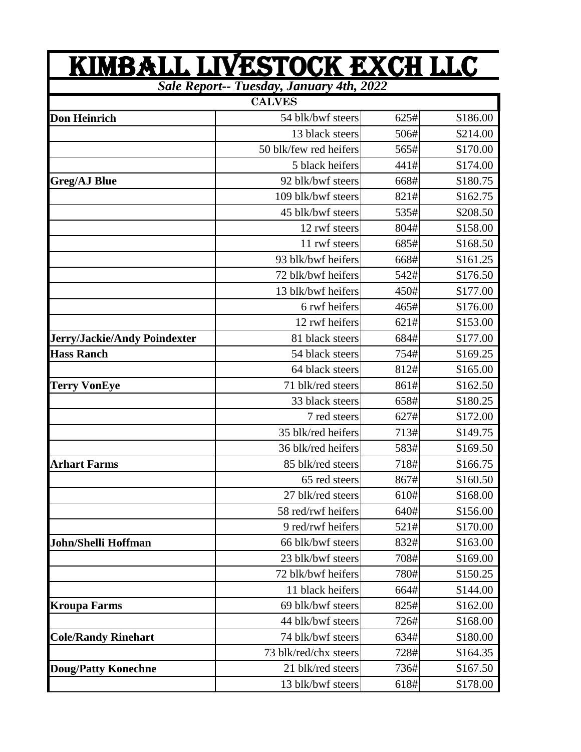| <u>KIMBALL LIVESTOCK EXCH LLC</u>               |                        |      |          |  |  |
|-------------------------------------------------|------------------------|------|----------|--|--|
| <b>Sale Report-- Tuesday, January 4th, 2022</b> |                        |      |          |  |  |
|                                                 | <b>CALVES</b>          |      |          |  |  |
| <b>Don Heinrich</b>                             | 54 blk/bwf steers      | 625# | \$186.00 |  |  |
|                                                 | 13 black steers        | 506# | \$214.00 |  |  |
|                                                 | 50 blk/few red heifers | 565# | \$170.00 |  |  |
|                                                 | 5 black heifers        | 441# | \$174.00 |  |  |
| <b>Greg/AJ Blue</b>                             | 92 blk/bwf steers      | 668# | \$180.75 |  |  |
|                                                 | 109 blk/bwf steers     | 821# | \$162.75 |  |  |
|                                                 | 45 blk/bwf steers      | 535# | \$208.50 |  |  |
|                                                 | 12 rwf steers          | 804# | \$158.00 |  |  |
|                                                 | 11 rwf steers          | 685# | \$168.50 |  |  |
|                                                 | 93 blk/bwf heifers     | 668# | \$161.25 |  |  |
|                                                 | 72 blk/bwf heifers     | 542# | \$176.50 |  |  |
|                                                 | 13 blk/bwf heifers     | 450# | \$177.00 |  |  |
|                                                 | 6 rwf heifers          | 465# | \$176.00 |  |  |
|                                                 | 12 rwf heifers         | 621# | \$153.00 |  |  |
| Jerry/Jackie/Andy Poindexter                    | 81 black steers        | 684# | \$177.00 |  |  |
| <b>Hass Ranch</b>                               | 54 black steers        | 754# | \$169.25 |  |  |
|                                                 | 64 black steers        | 812# | \$165.00 |  |  |
| <b>Terry VonEye</b>                             | 71 blk/red steers      | 861# | \$162.50 |  |  |
|                                                 | 33 black steers        | 658# | \$180.25 |  |  |
|                                                 | 7 red steers           | 627# | \$172.00 |  |  |
|                                                 | 35 blk/red heifers     | 713# | \$149.75 |  |  |
|                                                 | 36 blk/red heifers     | 583# | \$169.50 |  |  |
| <b>Arhart Farms</b>                             | 85 blk/red steers      | 718# | \$166.75 |  |  |
|                                                 | 65 red steers          | 867# | \$160.50 |  |  |
|                                                 | 27 blk/red steers      | 610# | \$168.00 |  |  |
|                                                 | 58 red/rwf heifers     | 640# | \$156.00 |  |  |
|                                                 | 9 red/rwf heifers      | 521# | \$170.00 |  |  |
| <b>John/Shelli Hoffman</b>                      | 66 blk/bwf steers      | 832# | \$163.00 |  |  |
|                                                 | 23 blk/bwf steers      | 708# | \$169.00 |  |  |
|                                                 | 72 blk/bwf heifers     | 780# | \$150.25 |  |  |
|                                                 | 11 black heifers       | 664# | \$144.00 |  |  |
| <b>Kroupa Farms</b>                             | 69 blk/bwf steers      | 825# | \$162.00 |  |  |
|                                                 | 44 blk/bwf steers      | 726# | \$168.00 |  |  |
| <b>Cole/Randy Rinehart</b>                      | 74 blk/bwf steers      | 634# | \$180.00 |  |  |
|                                                 | 73 blk/red/chx steers  | 728# | \$164.35 |  |  |
| <b>Doug/Patty Konechne</b>                      | 21 blk/red steers      | 736# | \$167.50 |  |  |
|                                                 | 13 blk/bwf steers      | 618# | \$178.00 |  |  |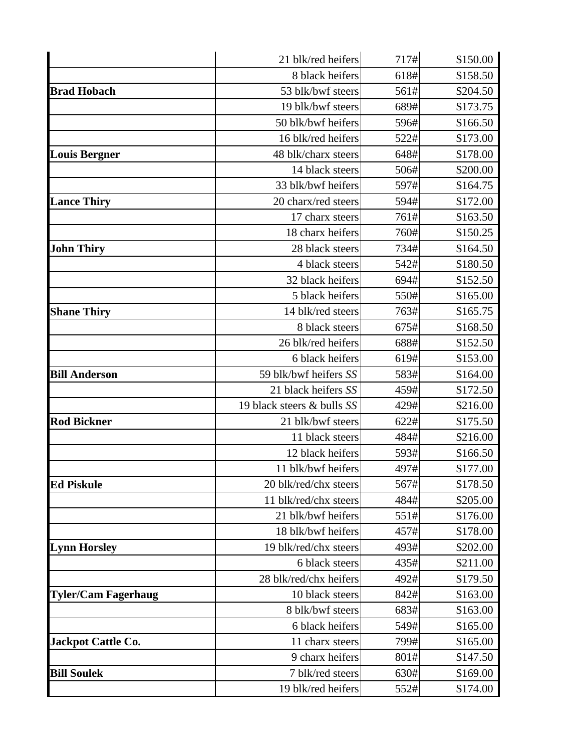|                            | 21 blk/red heifers         | 717# | \$150.00 |
|----------------------------|----------------------------|------|----------|
|                            | 8 black heifers            | 618# | \$158.50 |
| <b>Brad Hobach</b>         | 53 blk/bwf steers          | 561# | \$204.50 |
|                            | 19 blk/bwf steers          | 689# | \$173.75 |
|                            | 50 blk/bwf heifers         | 596# | \$166.50 |
|                            | 16 blk/red heifers         | 522# | \$173.00 |
| <b>Louis Bergner</b>       | 48 blk/charx steers        | 648# | \$178.00 |
|                            | 14 black steers            | 506# | \$200.00 |
|                            | 33 blk/bwf heifers         | 597# | \$164.75 |
| <b>Lance Thiry</b>         | 20 charx/red steers        | 594# | \$172.00 |
|                            | 17 charx steers            | 761# | \$163.50 |
|                            | 18 charx heifers           | 760# | \$150.25 |
| <b>John Thiry</b>          | 28 black steers            | 734# | \$164.50 |
|                            | 4 black steers             | 542# | \$180.50 |
|                            | 32 black heifers           | 694# | \$152.50 |
|                            | 5 black heifers            | 550# | \$165.00 |
| <b>Shane Thiry</b>         | 14 blk/red steers          | 763# | \$165.75 |
|                            | 8 black steers             | 675# | \$168.50 |
|                            | 26 blk/red heifers         | 688# | \$152.50 |
|                            | 6 black heifers            | 619# | \$153.00 |
| <b>Bill Anderson</b>       | 59 blk/bwf heifers SS      | 583# | \$164.00 |
|                            | 21 black heifers SS        | 459# | \$172.50 |
|                            | 19 black steers & bulls SS | 429# | \$216.00 |
| <b>Rod Bickner</b>         | 21 blk/bwf steers          | 622# | \$175.50 |
|                            | 11 black steers            | 484# | \$216.00 |
|                            | 12 black heifers           | 593# | \$166.50 |
|                            | 11 blk/bwf heifers         | 497# | \$177.00 |
| <b>Ed Piskule</b>          | 20 blk/red/chx steers      | 567# | \$178.50 |
|                            | 11 blk/red/chx steers      | 484# | \$205.00 |
|                            | 21 blk/bwf heifers         | 551# | \$176.00 |
|                            | 18 blk/bwf heifers         | 457# | \$178.00 |
| <b>Lynn Horsley</b>        | 19 blk/red/chx steers      | 493# | \$202.00 |
|                            | 6 black steers             | 435# | \$211.00 |
|                            | 28 blk/red/chx heifers     | 492# | \$179.50 |
| <b>Tyler/Cam Fagerhaug</b> | 10 black steers            | 842# | \$163.00 |
|                            | 8 blk/bwf steers           | 683# | \$163.00 |
|                            | 6 black heifers            | 549# | \$165.00 |
| <b>Jackpot Cattle Co.</b>  | 11 charx steers            | 799# | \$165.00 |
|                            | 9 charx heifers            | 801# | \$147.50 |
| <b>Bill Soulek</b>         | 7 blk/red steers           | 630# | \$169.00 |
|                            | 19 blk/red heifers         | 552# | \$174.00 |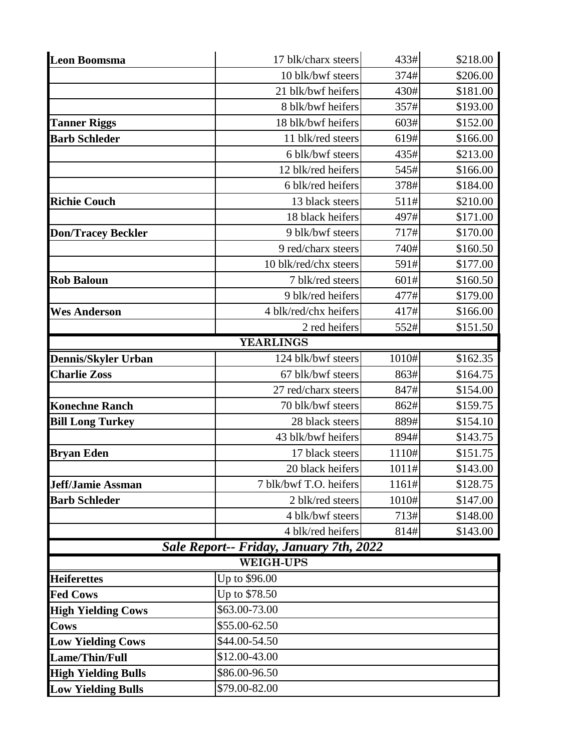| <b>Leon Boomsma</b>        | 17 blk/charx steers                     | 433#  | \$218.00 |
|----------------------------|-----------------------------------------|-------|----------|
|                            | 10 blk/bwf steers                       | 374#  | \$206.00 |
|                            | 21 blk/bwf heifers                      | 430#  | \$181.00 |
|                            | 8 blk/bwf heifers                       | 357#  | \$193.00 |
| <b>Tanner Riggs</b>        | 18 blk/bwf heifers                      | 603#  | \$152.00 |
| <b>Barb Schleder</b>       | 11 blk/red steers                       | 619#  | \$166.00 |
|                            | 6 blk/bwf steers                        | 435#  | \$213.00 |
|                            | 12 blk/red heifers                      | 545#  | \$166.00 |
|                            | 6 blk/red heifers                       | 378#  | \$184.00 |
| <b>Richie Couch</b>        | 13 black steers                         | 511#  | \$210.00 |
|                            | 18 black heifers                        | 497#  | \$171.00 |
| <b>Don/Tracey Beckler</b>  | 9 blk/bwf steers                        | 717#  | \$170.00 |
|                            | 9 red/charx steers                      | 740#  | \$160.50 |
|                            | 10 blk/red/chx steers                   | 591#  | \$177.00 |
| <b>Rob Baloun</b>          | 7 blk/red steers                        | 601#  | \$160.50 |
|                            | 9 blk/red heifers                       | 477#  | \$179.00 |
| <b>Wes Anderson</b>        | 4 blk/red/chx heifers                   | 417#  | \$166.00 |
|                            | 2 red heifers                           | 552#  | \$151.50 |
|                            | <b>YEARLINGS</b>                        |       |          |
| <b>Dennis/Skyler Urban</b> | 124 blk/bwf steers                      | 1010# | \$162.35 |
| <b>Charlie Zoss</b>        | 67 blk/bwf steers                       | 863#  | \$164.75 |
|                            | 27 red/charx steers                     | 847#  | \$154.00 |
| <b>Konechne Ranch</b>      | 70 blk/bwf steers                       | 862#  | \$159.75 |
| <b>Bill Long Turkey</b>    | 28 black steers                         | 889#  | \$154.10 |
|                            | 43 blk/bwf heifers                      | 894#  | \$143.75 |
| <b>Bryan Eden</b>          | 17 black steers                         | 1110# | \$151.75 |
|                            | 20 black heifers                        | 1011# | \$143.00 |
| <b>Jeff/Jamie Assman</b>   | 7 blk/bwf T.O. heifers                  | 1161# | \$128.75 |
| <b>Barb Schleder</b>       | 2 blk/red steers                        | 1010# | \$147.00 |
|                            | 4 blk/bwf steers                        | 713#  | \$148.00 |
|                            | 4 blk/red heifers                       | 814#  | \$143.00 |
|                            | Sale Report-- Friday, January 7th, 2022 |       |          |
|                            | <b>WEIGH-UPS</b>                        |       |          |
| <b>Heiferettes</b>         | Up to \$96.00                           |       |          |
| <b>Fed Cows</b>            | Up to \$78.50                           |       |          |
| <b>High Yielding Cows</b>  | \$63.00-73.00                           |       |          |
| Cows                       | \$55.00-62.50                           |       |          |
| <b>Low Yielding Cows</b>   | \$44.00-54.50                           |       |          |
| Lame/Thin/Full             | \$12.00-43.00                           |       |          |
| <b>High Yielding Bulls</b> | \$86.00-96.50                           |       |          |
| <b>Low Yielding Bulls</b>  | \$79.00-82.00                           |       |          |